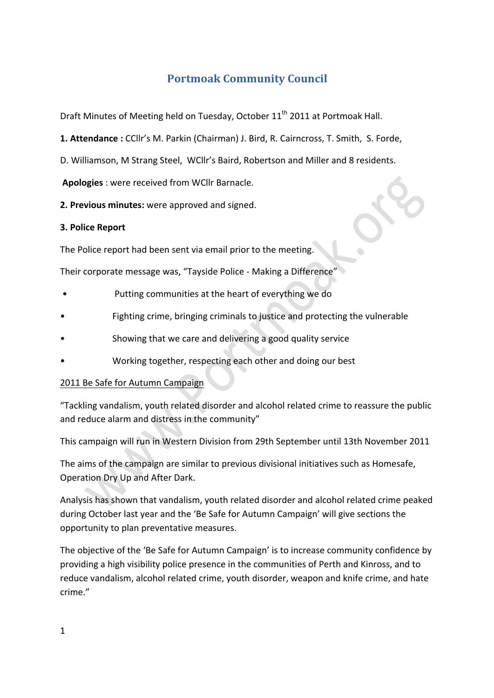# **Portmoak Community Council**

Draft Minutes of Meeting held on Tuesday, October 11<sup>th</sup> 2011 at Portmoak Hall.

**1. Attendance :** CCllr's M. Parkin (Chairman) J. Bird, R. Cairncross, T. Smith, S. Forde,

D. Williamson, M Strang Steel, WCllr's Baird, Robertson and Miller and 8 residents.

**Apologies** : were received from WCllr Barnacle.

2. Previous minutes: were approved and signed.

#### **3. Police Report**

The Police report had been sent via email prior to the meeting.

Their corporate message was, "Tayside Police - Making a Difference"

- Putting communities at the heart of everything we do
- Fighting crime, bringing criminals to justice and protecting the vulnerable
- Showing that we care and delivering a good quality service
- Working together, respecting each other and doing our best

## 2011 Be Safe for Autumn Campaign

"Tackling vandalism, youth related disorder and alcohol related crime to reassure the public and reduce alarm and distress in the community"

This campaign will run in Western Division from 29th September until 13th November 2011

The aims of the campaign are similar to previous divisional initiatives such as Homesafe, Operation Dry Up and After Dark.

Analysis has shown that vandalism, youth related disorder and alcohol related crime peaked during October last year and the 'Be Safe for Autumn Campaign' will give sections the opportunity to plan preventative measures.

The objective of the 'Be Safe for Autumn Campaign' is to increase community confidence by providing a high visibility police presence in the communities of Perth and Kinross, and to reduce vandalism, alcohol related crime, youth disorder, weapon and knife crime, and hate crime."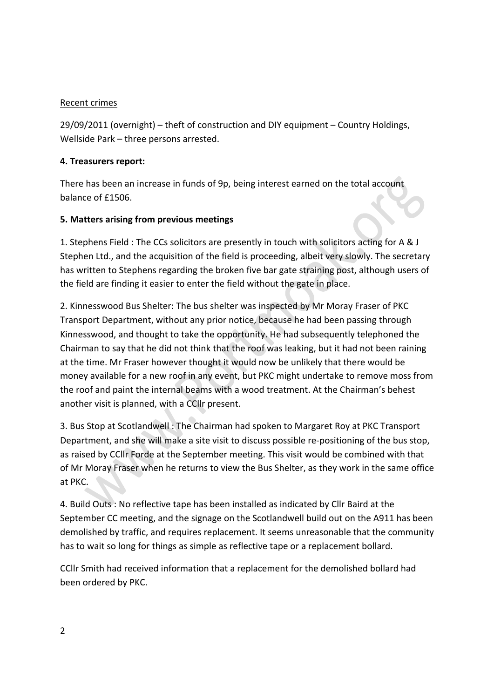### Recent crimes

 $29/09/2011$  (overnight) – theft of construction and DIY equipment – Country Holdings, Wellside Park – three persons arrested.

### **4. Treasurers report:**

There has been an increase in funds of 9p, being interest earned on the total account balance of £1506.

## **5.#Matters#arising from#previous#meetings**

1. Stephens Field : The CCs solicitors are presently in touch with solicitors acting for A & J Stephen Ltd., and the acquisition of the field is proceeding, albeit very slowly. The secretary has written to Stephens regarding the broken five bar gate straining post, although users of the field are finding it easier to enter the field without the gate in place.

2. Kinnesswood Bus Shelter: The bus shelter was inspected by Mr Moray Fraser of PKC Transport Department, without any prior notice, because he had been passing through Kinnesswood, and thought to take the opportunity. He had subsequently telephoned the Chairman to say that he did not think that the roof was leaking, but it had not been raining at the time. Mr Fraser however thought it would now be unlikely that there would be money available for a new roof in any event, but PKC might undertake to remove moss from the roof and paint the internal beams with a wood treatment. At the Chairman's behest another visit is planned, with a CCllr present.

3. Bus Stop at Scotlandwell: The Chairman had spoken to Margaret Roy at PKC Transport Department, and she will make a site visit to discuss possible re-positioning of the bus stop, as raised by CCllr Forde at the September meeting. This visit would be combined with that of Mr Moray Fraser when he returns to view the Bus Shelter, as they work in the same office at PKC.

4. Build Outs: No reflective tape has been installed as indicated by Cllr Baird at the September CC meeting, and the signage on the Scotlandwell build out on the A911 has been demolished by traffic, and requires replacement. It seems unreasonable that the community has to wait so long for things as simple as reflective tape or a replacement bollard.

CCIIr Smith had received information that a replacement for the demolished bollard had been ordered by PKC.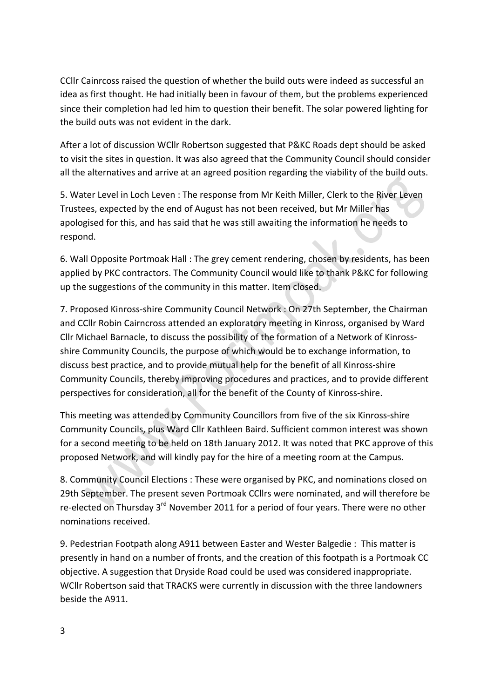CCIIr Cainrcoss raised the question of whether the build outs were indeed as successful an idea as first thought. He had initially been in favour of them, but the problems experienced since their completion had led him to question their benefit. The solar powered lighting for the build outs was not evident in the dark.

After a lot of discussion WCllr Robertson suggested that P&KC Roads dept should be asked to visit the sites in question. It was also agreed that the Community Council should consider all the alternatives and arrive at an agreed position regarding the viability of the build outs.

5. Water Level in Loch Leven : The response from Mr Keith Miller, Clerk to the River Leven Trustees, expected by the end of August has not been received, but Mr Miller has apologised for this, and has said that he was still awaiting the information he needs to respond.

6. Wall Opposite Portmoak Hall : The grey cement rendering, chosen by residents, has been applied by PKC contractors. The Community Council would like to thank P&KC for following up the suggestions of the community in this matter. Item closed.

7. Proposed Kinross-shire Community Council Network : On 27th September, the Chairman and CCllr Robin Cairncross attended an exploratory meeting in Kinross, organised by Ward Cllr Michael Barnacle, to discuss the possibility of the formation of a Network of Kinrossshire Community Councils, the purpose of which would be to exchange information, to discuss best practice, and to provide mutual help for the benefit of all Kinross-shire Community Councils, thereby improving procedures and practices, and to provide different perspectives for consideration, all for the benefit of the County of Kinross-shire.

This meeting was attended by Community Councillors from five of the six Kinross-shire Community Councils, plus Ward Cllr Kathleen Baird. Sufficient common interest was shown for a second meeting to be held on 18th January 2012. It was noted that PKC approve of this proposed Network, and will kindly pay for the hire of a meeting room at the Campus.

8. Community Council Elections : These were organised by PKC, and nominations closed on 29th September. The present seven Portmoak CCllrs were nominated, and will therefore be re-elected on Thursday 3<sup>rd</sup> November 2011 for a period of four years. There were no other nominations received.

9. Pedestrian Footpath along A911 between Easter and Wester Balgedie : This matter is presently in hand on a number of fronts, and the creation of this footpath is a Portmoak CC objective. A suggestion that Dryside Road could be used was considered inappropriate. WCIIr Robertson said that TRACKS were currently in discussion with the three landowners beside the A911.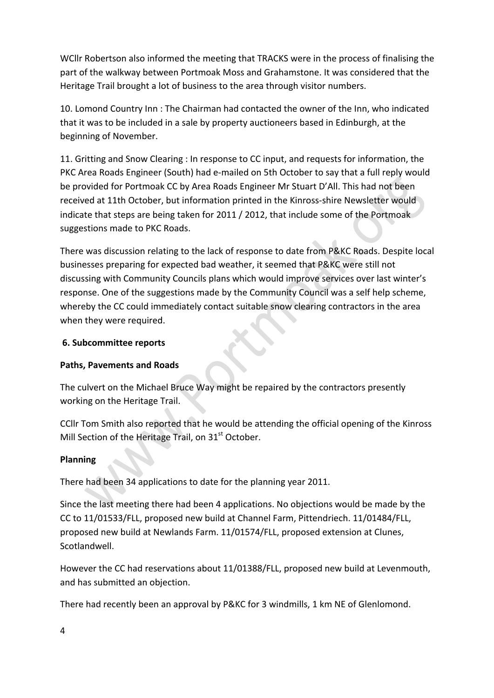WCllr Robertson also informed the meeting that TRACKS were in the process of finalising the part of the walkway between Portmoak Moss and Grahamstone. It was considered that the Heritage Trail brought a lot of business to the area through visitor numbers.

10. Lomond Country Inn: The Chairman had contacted the owner of the Inn, who indicated that it was to be included in a sale by property auctioneers based in Edinburgh, at the beginning of November.

11. Gritting and Snow Clearing : In response to CC input, and requests for information, the PKC Area Roads Engineer (South) had e-mailed on 5th October to say that a full reply would be provided for Portmoak CC by Area Roads Engineer Mr Stuart D'All. This had not been received at 11th October, but information printed in the Kinross-shire Newsletter would indicate that steps are being taken for 2011 / 2012, that include some of the Portmoak suggestions made to PKC Roads.

There was discussion relating to the lack of response to date from P&KC Roads. Despite local businesses preparing for expected bad weather, it seemed that P&KC were still not discussing with Community Councils plans which would improve services over last winter's response. One of the suggestions made by the Community Council was a self help scheme, whereby the CC could immediately contact suitable snow clearing contractors in the area when they were required.

#### **6.#Subcommittee reports**

#### **Paths, Pavements and Roads**

The culvert on the Michael Bruce Way might be repaired by the contractors presently working on the Heritage Trail.

CCIIr Tom Smith also reported that he would be attending the official opening of the Kinross Mill Section of the Heritage Trail, on 31<sup>st</sup> October.

#### **Planning**

There had been 34 applications to date for the planning year 2011.

Since the last meeting there had been 4 applications. No objections would be made by the CC to 11/01533/FLL, proposed new build at Channel Farm, Pittendriech. 11/01484/FLL, proposed new build at Newlands Farm. 11/01574/FLL, proposed extension at Clunes, Scotlandwell.

However the CC had reservations about 11/01388/FLL, proposed new build at Levenmouth, and has submitted an objection.

There had recently been an approval by P&KC for 3 windmills, 1 km NE of Glenlomond.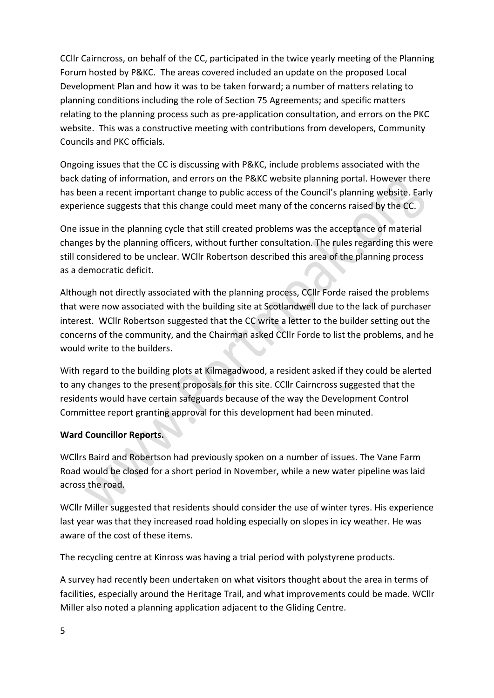CCIIr Cairncross, on behalf of the CC, participated in the twice yearly meeting of the Planning Forum hosted by P&KC. The areas covered included an update on the proposed Local Development Plan and how it was to be taken forward; a number of matters relating to planning conditions including the role of Section 75 Agreements; and specific matters relating to the planning process such as pre-application consultation, and errors on the PKC website. This was a constructive meeting with contributions from developers, Community Councils and PKC officials.

Ongoing issues that the CC is discussing with P&KC, include problems associated with the back dating of information, and errors on the P&KC website planning portal. However there has been a recent important change to public access of the Council's planning website. Early experience suggests that this change could meet many of the concerns raised by the CC.

One issue in the planning cycle that still created problems was the acceptance of material changes by the planning officers, without further consultation. The rules regarding this were still considered to be unclear. WCllr Robertson described this area of the planning process as a democratic deficit.

Although not directly associated with the planning process, CCllr Forde raised the problems that were now associated with the building site at Scotlandwell due to the lack of purchaser interest. WCllr Robertson suggested that the CC write a letter to the builder setting out the concerns of the community, and the Chairman asked CCIIr Forde to list the problems, and he would write to the builders.

With regard to the building plots at Kilmagadwood, a resident asked if they could be alerted to any changes to the present proposals for this site. CCllr Cairncross suggested that the residents would have certain safeguards because of the way the Development Control Committee report granting approval for this development had been minuted.

## **Ward Councillor Reports.**

WCllrs Baird and Robertson had previously spoken on a number of issues. The Vane Farm Road would be closed for a short period in November, while a new water pipeline was laid across the road.

WCllr Miller suggested that residents should consider the use of winter tyres. His experience last year was that they increased road holding especially on slopes in icy weather. He was aware of the cost of these items.

The recycling centre at Kinross was having a trial period with polystyrene products.

A survey had recently been undertaken on what visitors thought about the area in terms of facilities, especially around the Heritage Trail, and what improvements could be made. WCllr Miller also noted a planning application adjacent to the Gliding Centre.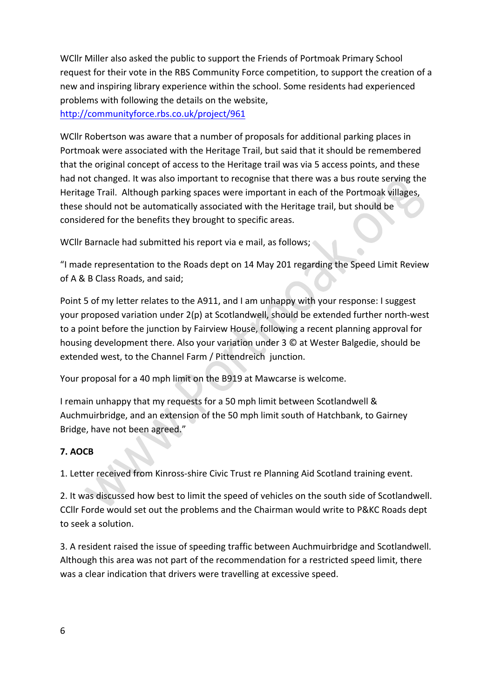WCllr Miller also asked the public to support the Friends of Portmoak Primary School request for their vote in the RBS Community Force competition, to support the creation of a new and inspiring library experience within the school. Some residents had experienced problems with following the details on the website, http://communityforce.rbs.co.uk/project/961

WCllr Robertson was aware that a number of proposals for additional parking places in Portmoak were associated with the Heritage Trail, but said that it should be remembered that the original concept of access to the Heritage trail was via 5 access points, and these had not changed. It was also important to recognise that there was a bus route serving the Heritage Trail. Although parking spaces were important in each of the Portmoak villages, these should not be automatically associated with the Heritage trail, but should be considered for the benefits they brought to specific areas.

WCllr Barnacle had submitted his report via e mail, as follows;

"I made representation to the Roads dept on 14 May 201 regarding the Speed Limit Review of A & B Class Roads, and said:

Point 5 of my letter relates to the A911, and I am unhappy with your response: I suggest your proposed variation under 2(p) at Scotlandwell, should be extended further north-west to a point before the junction by Fairview House, following a recent planning approval for housing development there. Also your variation under 3 © at Wester Balgedie, should be extended west, to the Channel Farm / Pittendreich junction.

Your proposal for a 40 mph limit on the B919 at Mawcarse is welcome.

I remain unhappy that my requests for a 50 mph limit between Scotlandwell & Auchmuirbridge, and an extension of the 50 mph limit south of Hatchbank, to Gairney Bridge, have not been agreed."

#### **7.#AOCB**

1. Letter received from Kinross-shire Civic Trust re Planning Aid Scotland training event.

2. It was discussed how best to limit the speed of vehicles on the south side of Scotlandwell. CCIIr Forde would set out the problems and the Chairman would write to P&KC Roads dept to seek a solution.

3. A resident raised the issue of speeding traffic between Auchmuirbridge and Scotlandwell. Although this area was not part of the recommendation for a restricted speed limit, there was a clear indication that drivers were travelling at excessive speed.